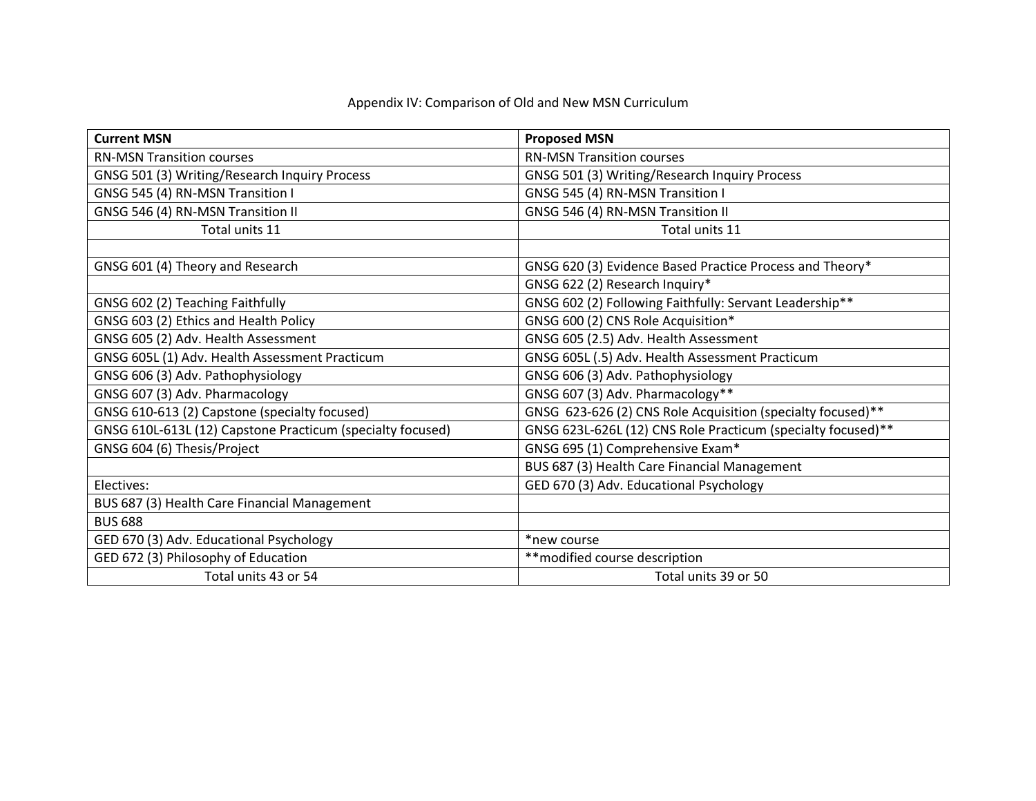| <b>Current MSN</b>                                         | <b>Proposed MSN</b>                                          |
|------------------------------------------------------------|--------------------------------------------------------------|
| <b>RN-MSN Transition courses</b>                           | <b>RN-MSN Transition courses</b>                             |
| GNSG 501 (3) Writing/Research Inquiry Process              | GNSG 501 (3) Writing/Research Inquiry Process                |
| GNSG 545 (4) RN-MSN Transition I                           | GNSG 545 (4) RN-MSN Transition I                             |
| GNSG 546 (4) RN-MSN Transition II                          | GNSG 546 (4) RN-MSN Transition II                            |
| Total units 11                                             | Total units 11                                               |
|                                                            |                                                              |
| GNSG 601 (4) Theory and Research                           | GNSG 620 (3) Evidence Based Practice Process and Theory*     |
|                                                            | GNSG 622 (2) Research Inquiry*                               |
| GNSG 602 (2) Teaching Faithfully                           | GNSG 602 (2) Following Faithfully: Servant Leadership**      |
| GNSG 603 (2) Ethics and Health Policy                      | GNSG 600 (2) CNS Role Acquisition*                           |
| GNSG 605 (2) Adv. Health Assessment                        | GNSG 605 (2.5) Adv. Health Assessment                        |
| GNSG 605L (1) Adv. Health Assessment Practicum             | GNSG 605L (.5) Adv. Health Assessment Practicum              |
| GNSG 606 (3) Adv. Pathophysiology                          | GNSG 606 (3) Adv. Pathophysiology                            |
| GNSG 607 (3) Adv. Pharmacology                             | GNSG 607 (3) Adv. Pharmacology**                             |
| GNSG 610-613 (2) Capstone (specialty focused)              | GNSG 623-626 (2) CNS Role Acquisition (specialty focused)**  |
| GNSG 610L-613L (12) Capstone Practicum (specialty focused) | GNSG 623L-626L (12) CNS Role Practicum (specialty focused)** |
| GNSG 604 (6) Thesis/Project                                | GNSG 695 (1) Comprehensive Exam*                             |
|                                                            | BUS 687 (3) Health Care Financial Management                 |
| Electives:                                                 | GED 670 (3) Adv. Educational Psychology                      |
| BUS 687 (3) Health Care Financial Management               |                                                              |
| <b>BUS 688</b>                                             |                                                              |
| GED 670 (3) Adv. Educational Psychology                    | *new course                                                  |
| GED 672 (3) Philosophy of Education                        | ** modified course description                               |
| Total units 43 or 54                                       | Total units 39 or 50                                         |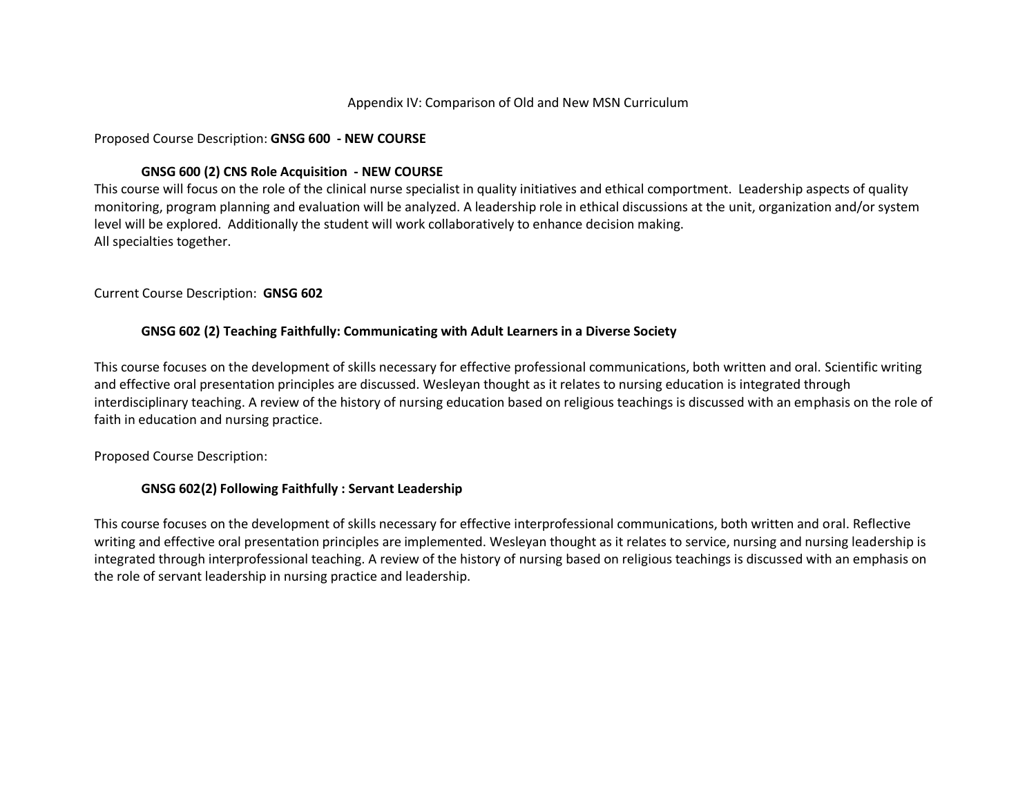#### Proposed Course Description: **GNSG 600 - NEW COURSE**

### **GNSG 600 (2) CNS Role Acquisition - NEW COURSE**

This course will focus on the role of the clinical nurse specialist in quality initiatives and ethical comportment. Leadership aspects of quality monitoring, program planning and evaluation will be analyzed. A leadership role in ethical discussions at the unit, organization and/or system level will be explored. Additionally the student will work collaboratively to enhance decision making. All specialties together.

#### Current Course Description: **GNSG 602**

#### **GNSG 602 (2) Teaching Faithfully: Communicating with Adult Learners in a Diverse Society**

This course focuses on the development of skills necessary for effective professional communications, both written and oral. Scientific writing and effective oral presentation principles are discussed. Wesleyan thought as it relates to nursing education is integrated through interdisciplinary teaching. A review of the history of nursing education based on religious teachings is discussed with an emphasis on the role of faith in education and nursing practice.

#### Proposed Course Description:

#### **GNSG 602(2) Following Faithfully : Servant Leadership**

This course focuses on the development of skills necessary for effective interprofessional communications, both written and oral. Reflective writing and effective oral presentation principles are implemented. Wesleyan thought as it relates to service, nursing and nursing leadership is integrated through interprofessional teaching. A review of the history of nursing based on religious teachings is discussed with an emphasis on the role of servant leadership in nursing practice and leadership.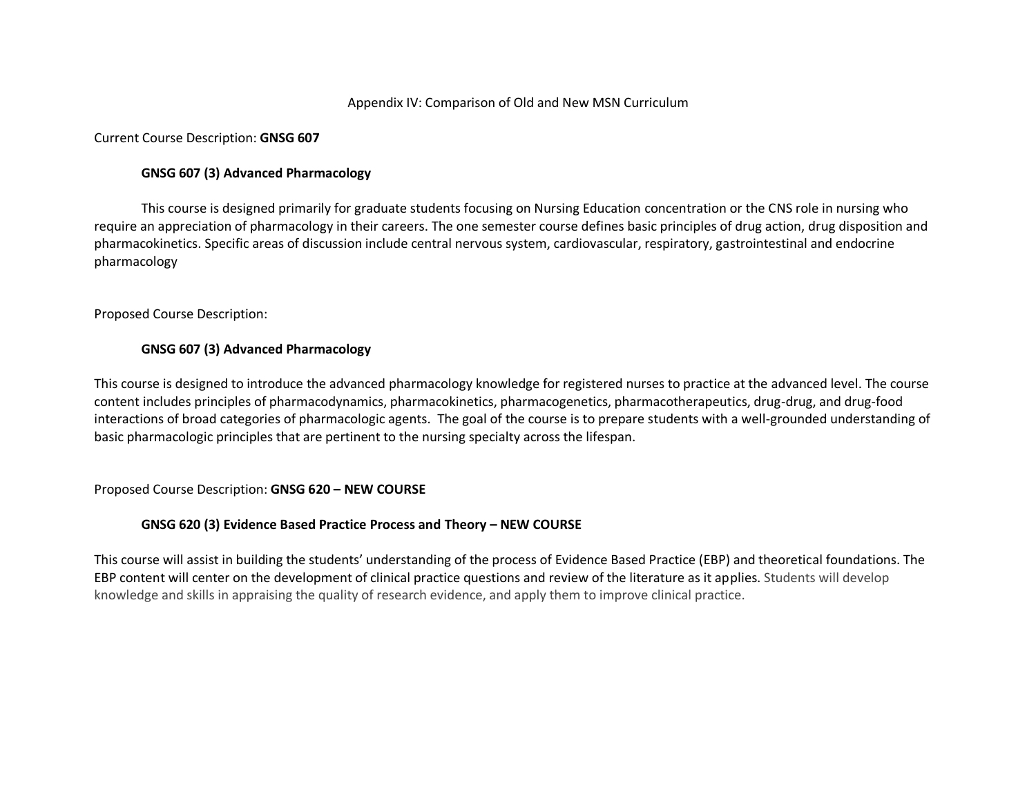#### Current Course Description: **GNSG 607**

#### **GNSG 607 (3) Advanced Pharmacology**

This course is designed primarily for graduate students focusing on Nursing Education concentration or the CNS role in nursing who require an appreciation of pharmacology in their careers. The one semester course defines basic principles of drug action, drug disposition and pharmacokinetics. Specific areas of discussion include central nervous system, cardiovascular, respiratory, gastrointestinal and endocrine pharmacology

#### Proposed Course Description:

#### **GNSG 607 (3) Advanced Pharmacology**

This course is designed to introduce the advanced pharmacology knowledge for registered nurses to practice at the advanced level. The course content includes principles of pharmacodynamics, pharmacokinetics, pharmacogenetics, pharmacotherapeutics, drug-drug, and drug-food interactions of broad categories of pharmacologic agents. The goal of the course is to prepare students with a well-grounded understanding of basic pharmacologic principles that are pertinent to the nursing specialty across the lifespan.

#### Proposed Course Description: **GNSG 620 – NEW COURSE**

# **GNSG 620 (3) Evidence Based Practice Process and Theory – NEW COURSE**

This course will assist in building the students' understanding of the process of Evidence Based Practice (EBP) and theoretical foundations. The EBP content will center on the development of clinical practice questions and review of the literature as it applies. Students will develop knowledge and skills in appraising the quality of research evidence, and apply them to improve clinical practice.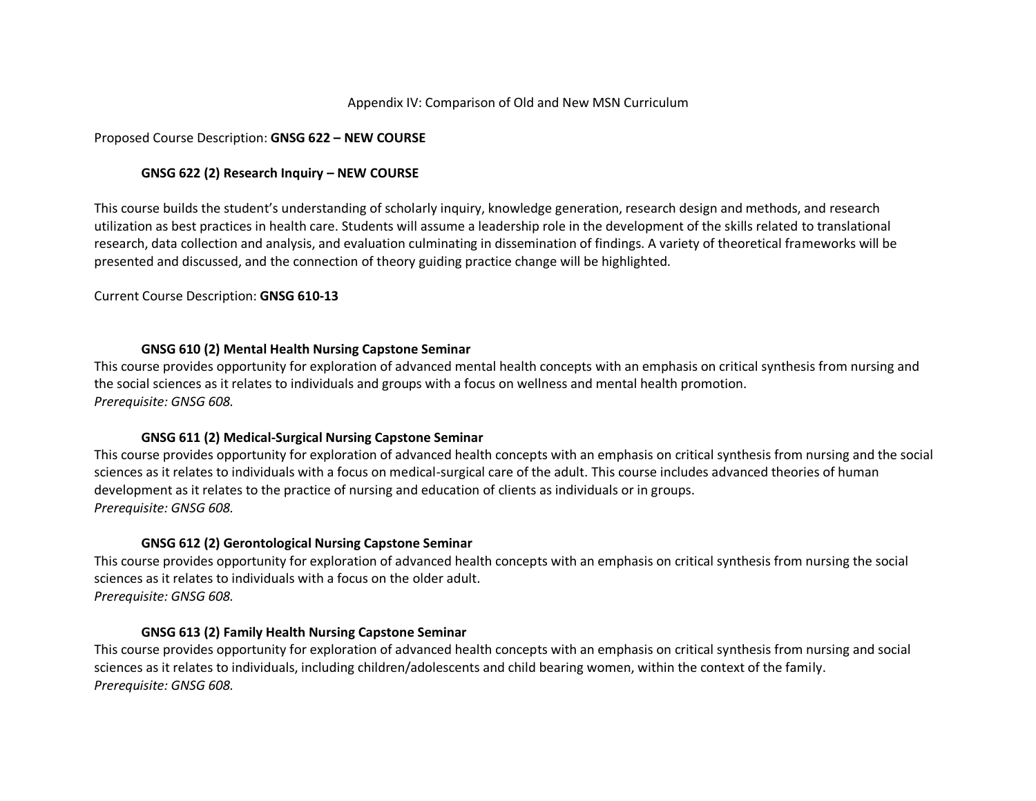#### Proposed Course Description: **GNSG 622 – NEW COURSE**

### **GNSG 622 (2) Research Inquiry – NEW COURSE**

This course builds the student's understanding of scholarly inquiry, knowledge generation, research design and methods, and research utilization as best practices in health care. Students will assume a leadership role in the development of the skills related to translational research, data collection and analysis, and evaluation culminating in dissemination of findings. A variety of theoretical frameworks will be presented and discussed, and the connection of theory guiding practice change will be highlighted.

Current Course Description: **GNSG 610-13**

### **GNSG 610 (2) Mental Health Nursing Capstone Seminar**

This course provides opportunity for exploration of advanced mental health concepts with an emphasis on critical synthesis from nursing and the social sciences as it relates to individuals and groups with a focus on wellness and mental health promotion. *Prerequisite: GNSG 608.*

# **GNSG 611 (2) Medical-Surgical Nursing Capstone Seminar**

This course provides opportunity for exploration of advanced health concepts with an emphasis on critical synthesis from nursing and the social sciences as it relates to individuals with a focus on medical-surgical care of the adult. This course includes advanced theories of human development as it relates to the practice of nursing and education of clients as individuals or in groups. *Prerequisite: GNSG 608.*

# **GNSG 612 (2) Gerontological Nursing Capstone Seminar**

This course provides opportunity for exploration of advanced health concepts with an emphasis on critical synthesis from nursing the social sciences as it relates to individuals with a focus on the older adult. *Prerequisite: GNSG 608.*

# **GNSG 613 (2) Family Health Nursing Capstone Seminar**

This course provides opportunity for exploration of advanced health concepts with an emphasis on critical synthesis from nursing and social sciences as it relates to individuals, including children/adolescents and child bearing women, within the context of the family. *Prerequisite: GNSG 608.*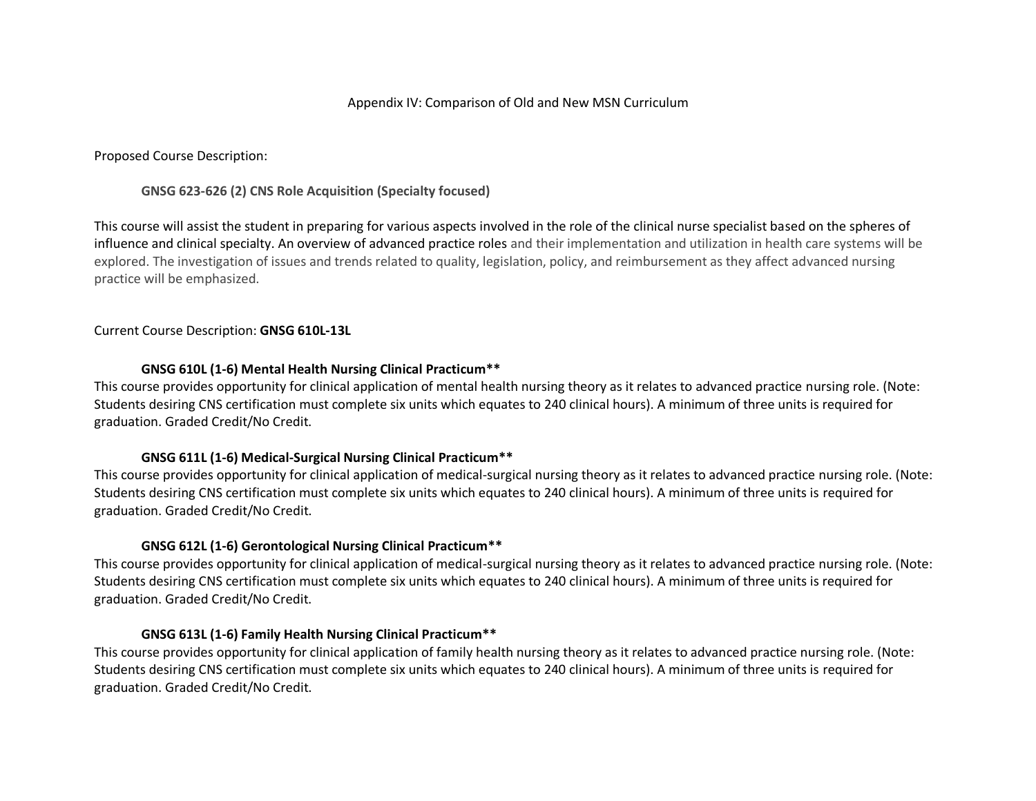Proposed Course Description:

**GNSG 623-626 (2) CNS Role Acquisition (Specialty focused)**

This course will assist the student in preparing for various aspects involved in the role of the clinical nurse specialist based on the spheres of influence and clinical specialty. An overview of advanced practice roles and their implementation and utilization in health care systems will be explored. The investigation of issues and trends related to quality, legislation, policy, and reimbursement as they affect advanced nursing practice will be emphasized.

Current Course Description: **GNSG 610L-13L**

### **GNSG 610L (1-6) Mental Health Nursing Clinical Practicum\*\***

This course provides opportunity for clinical application of mental health nursing theory as it relates to advanced practice nursing role. (Note: Students desiring CNS certification must complete six units which equates to 240 clinical hours). A minimum of three units is required for graduation. Graded Credit/No Credit.

# **GNSG 611L (1-6) Medical-Surgical Nursing Clinical Practicum\*\***

This course provides opportunity for clinical application of medical-surgical nursing theory as it relates to advanced practice nursing role. (Note: Students desiring CNS certification must complete six units which equates to 240 clinical hours). A minimum of three units is required for graduation. Graded Credit/No Credit.

# **GNSG 612L (1-6) Gerontological Nursing Clinical Practicum\*\***

This course provides opportunity for clinical application of medical-surgical nursing theory as it relates to advanced practice nursing role. (Note: Students desiring CNS certification must complete six units which equates to 240 clinical hours). A minimum of three units is required for graduation. Graded Credit/No Credit.

#### **GNSG 613L (1-6) Family Health Nursing Clinical Practicum\*\***

This course provides opportunity for clinical application of family health nursing theory as it relates to advanced practice nursing role. (Note: Students desiring CNS certification must complete six units which equates to 240 clinical hours). A minimum of three units is required for graduation. Graded Credit/No Credit.